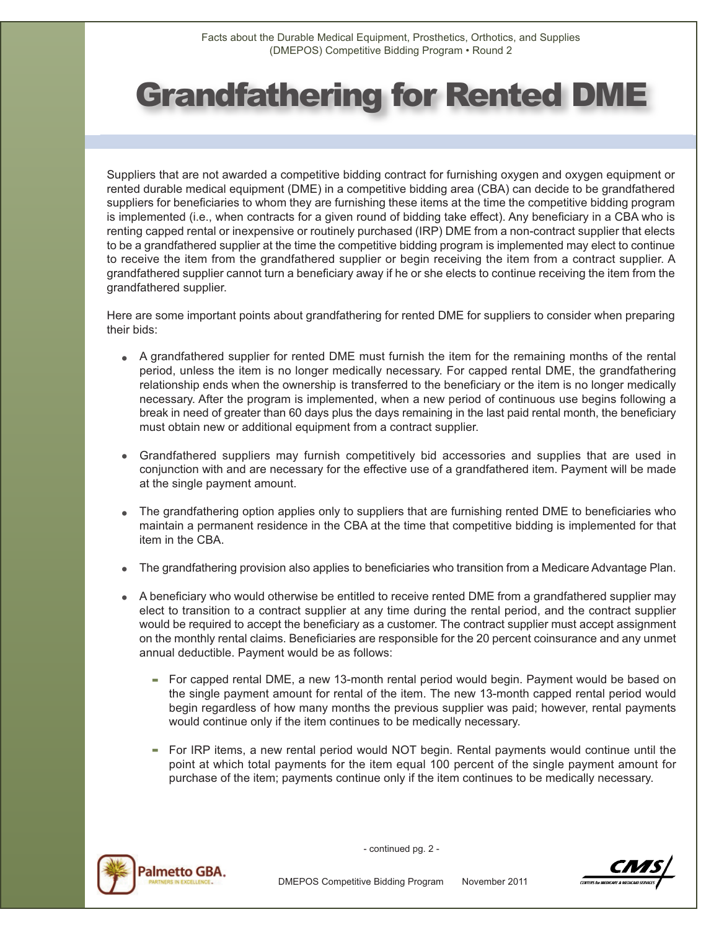## Grandfathering for Rented DME

Suppliers that are not awarded a competitive bidding contract for furnishing oxygen and oxygen equipment or rented durable medical equipment (DME) in a competitive bidding area (CBA) can decide to be grandfathered suppliers for beneficiaries to whom they are furnishing these items at the time the competitive bidding program is implemented (i.e., when contracts for a given round of bidding take effect). Any beneficiary in a CBA who is renting capped rental or inexpensive or routinely purchased (IRP) DME from a non-contract supplier that elects to be a grandfathered supplier at the time the competitive bidding program is implemented may elect to continue to receive the item from the grandfathered supplier or begin receiving the item from a contract supplier. A grandfathered supplier cannot turn a beneficiary away if he or she elects to continue receiving the item from the grandfathered supplier.

Here are some important points about grandfathering for rented DME for suppliers to consider when preparing their bids:

- A grandfathered supplier for rented DME must furnish the item for the remaining months of the rental period, unless the item is no longer medically necessary. For capped rental DME, the grandfathering relationship ends when the ownership is transferred to the beneficiary or the item is no longer medically necessary. After the program is implemented, when a new period of continuous use begins following a break in need of greater than 60 days plus the days remaining in the last paid rental month, the beneficiary must obtain new or additional equipment from a contract supplier.
- Grandfathered suppliers may furnish competitively bid accessories and supplies that are used in conjunction with and are necessary for the effective use of a grandfathered item. Payment will be made at the single payment amount.
- The grandfathering option applies only to suppliers that are furnishing rented DME to beneficiaries who maintain a permanent residence in the CBA at the time that competitive bidding is implemented for that item in the CBA.
- The grandfathering provision also applies to beneficiaries who transition from a Medicare Advantage Plan.
- A beneficiary who would otherwise be entitled to receive rented DME from a grandfathered supplier may elect to transition to a contract supplier at any time during the rental period, and the contract supplier would be required to accept the beneficiary as a customer. The contract supplier must accept assignment on the monthly rental claims. Beneficiaries are responsible for the 20 percent coinsurance and any unmet annual deductible. Payment would be as follows:
	- For capped rental DME, a new 13-month rental period would begin. Payment would be based on the single payment amount for rental of the item. The new 13-month capped rental period would begin regardless of how many months the previous supplier was paid; however, rental payments would continue only if the item continues to be medically necessary.
	- For IRP items, a new rental period would NOT begin. Rental payments would continue until the point at which total payments for the item equal 100 percent of the single payment amount for purchase of the item; payments continue only if the item continues to be medically necessary.



- continued pg. 2 -